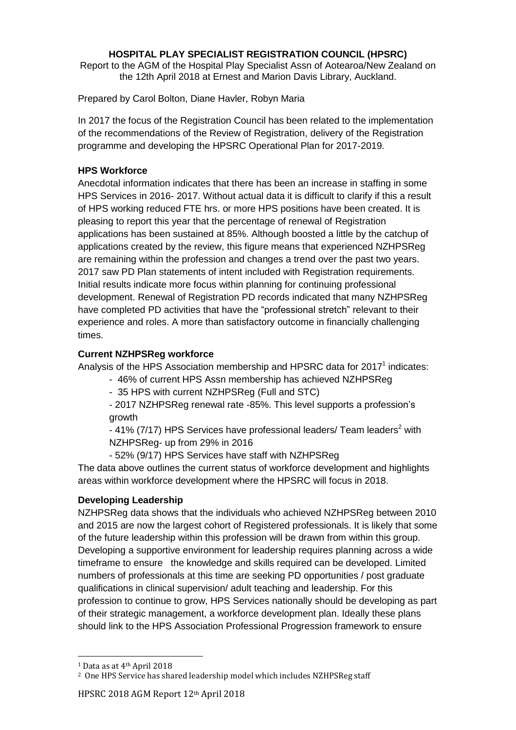#### **HOSPITAL PLAY SPECIALIST REGISTRATION COUNCIL (HPSRC)**

Report to the AGM of the Hospital Play Specialist Assn of Aotearoa/New Zealand on the 12th April 2018 at Ernest and Marion Davis Library, Auckland.

Prepared by Carol Bolton, Diane Havler, Robyn Maria

In 2017 the focus of the Registration Council has been related to the implementation of the recommendations of the Review of Registration, delivery of the Registration programme and developing the HPSRC Operational Plan for 2017-2019.

#### **HPS Workforce**

Anecdotal information indicates that there has been an increase in staffing in some HPS Services in 2016- 2017. Without actual data it is difficult to clarify if this a result of HPS working reduced FTE hrs. or more HPS positions have been created. It is pleasing to report this year that the percentage of renewal of Registration applications has been sustained at 85%. Although boosted a little by the catchup of applications created by the review, this figure means that experienced NZHPSReg are remaining within the profession and changes a trend over the past two years. 2017 saw PD Plan statements of intent included with Registration requirements. Initial results indicate more focus within planning for continuing professional development. Renewal of Registration PD records indicated that many NZHPSReg have completed PD activities that have the "professional stretch" relevant to their experience and roles. A more than satisfactory outcome in financially challenging times.

# **Current NZHPSReg workforce**

Analysis of the HPS Association membership and HPSRC data for 2017<sup>1</sup> indicates:

- 46% of current HPS Assn membership has achieved NZHPSReg
- 35 HPS with current NZHPSReg (Full and STC)

- 2017 NZHPSReg renewal rate -85%. This level supports a profession's growth

 $-$  41% (7/17) HPS Services have professional leaders/ Team leaders<sup>2</sup> with NZHPSReg- up from 29% in 2016

- 52% (9/17) HPS Services have staff with NZHPSReg

The data above outlines the current status of workforce development and highlights areas within workforce development where the HPSRC will focus in 2018.

# **Developing Leadership**

NZHPSReg data shows that the individuals who achieved NZHPSReg between 2010 and 2015 are now the largest cohort of Registered professionals. It is likely that some of the future leadership within this profession will be drawn from within this group. Developing a supportive environment for leadership requires planning across a wide timeframe to ensure the knowledge and skills required can be developed. Limited numbers of professionals at this time are seeking PD opportunities / post graduate qualifications in clinical supervision/ adult teaching and leadership. For this profession to continue to grow, HPS Services nationally should be developing as part of their strategic management, a workforce development plan. Ideally these plans should link to the HPS Association Professional Progression framework to ensure

l

<sup>1</sup> Data as at 4th April 2018

<sup>&</sup>lt;sup>2</sup> One HPS Service has shared leadership model which includes NZHPSReg staff